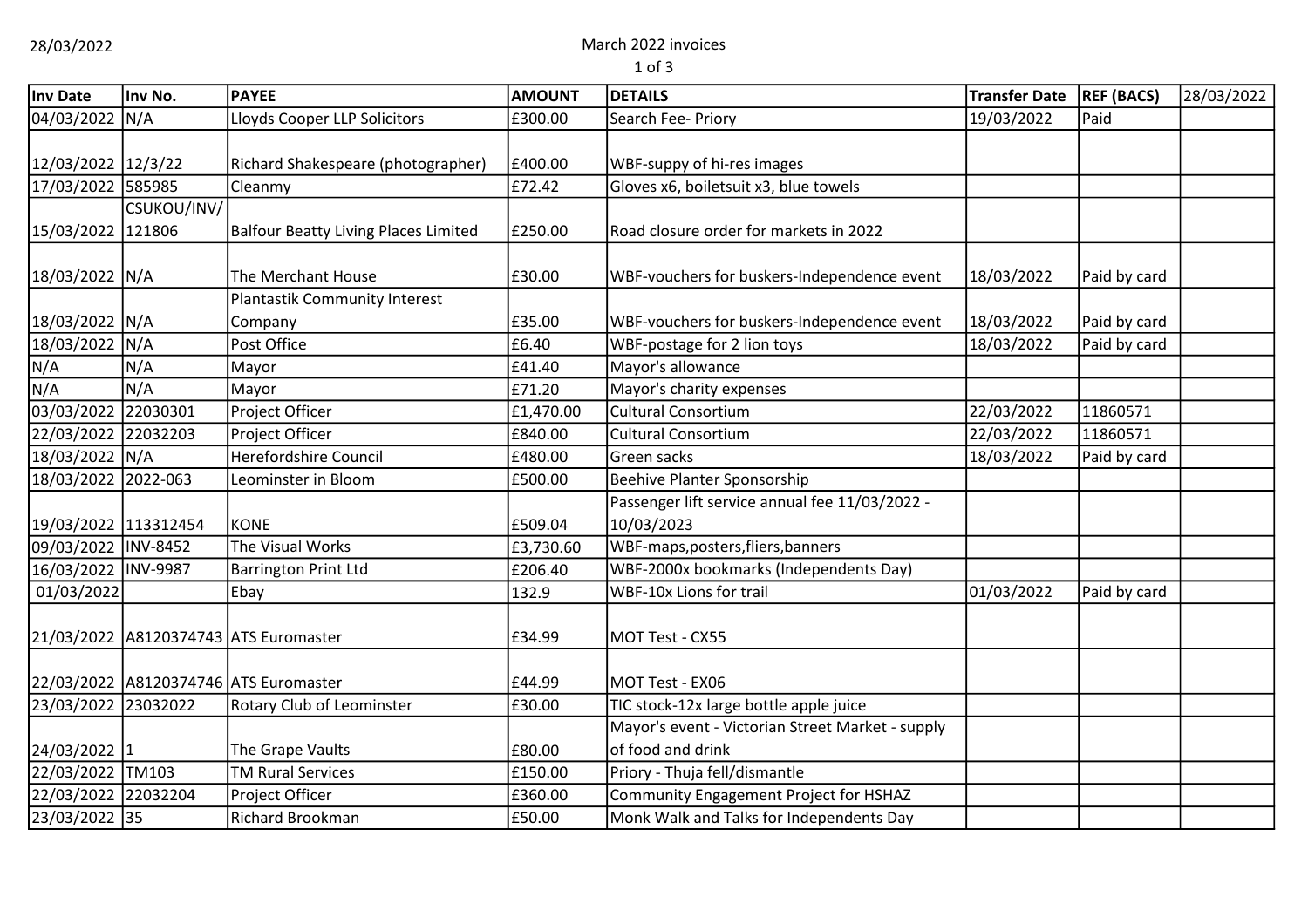28/03/2022 March 2022 invoices

1 of 3

| Inv Date             | Inv No.     | <b>PAYEE</b>                                | <b>AMOUNT</b> | <b>DETAILS</b>                                   | <b>Transfer Date</b> | <b>REF (BACS)</b> | 28/03/2022 |
|----------------------|-------------|---------------------------------------------|---------------|--------------------------------------------------|----------------------|-------------------|------------|
| 04/03/2022           | N/A         | Lloyds Cooper LLP Solicitors                | £300.00       | Search Fee- Priory                               | 19/03/2022           | Paid              |            |
|                      |             |                                             |               |                                                  |                      |                   |            |
| 12/03/2022 12/3/22   |             | Richard Shakespeare (photographer)          | £400.00       | WBF-suppy of hi-res images                       |                      |                   |            |
| 17/03/2022 585985    |             | Cleanmy                                     | £72.42        | Gloves x6, boiletsuit x3, blue towels            |                      |                   |            |
|                      | CSUKOU/INV/ |                                             |               |                                                  |                      |                   |            |
| 15/03/2022 121806    |             | <b>Balfour Beatty Living Places Limited</b> | £250.00       | Road closure order for markets in 2022           |                      |                   |            |
|                      |             |                                             |               |                                                  |                      |                   |            |
| 18/03/2022 N/A       |             | The Merchant House                          | £30.00        | WBF-vouchers for buskers-Independence event      | 18/03/2022           | Paid by card      |            |
|                      |             | Plantastik Community Interest               |               |                                                  |                      |                   |            |
| 18/03/2022 N/A       |             | Company                                     | £35.00        | WBF-vouchers for buskers-Independence event      | 18/03/2022           | Paid by card      |            |
| 18/03/2022 N/A       |             | Post Office                                 | £6.40         | WBF-postage for 2 lion toys                      | 18/03/2022           | Paid by card      |            |
| N/A                  | N/A         | Mayor                                       | £41.40        | Mayor's allowance                                |                      |                   |            |
| N/A                  | N/A         | Mayor                                       | £71.20        | Mayor's charity expenses                         |                      |                   |            |
| 03/03/2022           | 22030301    | Project Officer                             | £1,470.00     | <b>Cultural Consortium</b>                       | 22/03/2022           | 11860571          |            |
| 22/03/2022 22032203  |             | Project Officer                             | £840.00       | <b>Cultural Consortium</b>                       | 22/03/2022           | 11860571          |            |
| 18/03/2022           | N/A         | Herefordshire Council                       | £480.00       | Green sacks                                      | 18/03/2022           | Paid by card      |            |
| 18/03/2022           | 2022-063    | Leominster in Bloom                         | £500.00       | Beehive Planter Sponsorship                      |                      |                   |            |
|                      |             |                                             |               | Passenger lift service annual fee 11/03/2022 -   |                      |                   |            |
| 19/03/2022 113312454 |             | KONE                                        | £509.04       | 10/03/2023                                       |                      |                   |            |
| 09/03/2022 INV-8452  |             | The Visual Works                            | £3,730.60     | WBF-maps, posters, fliers, banners               |                      |                   |            |
| 16/03/2022 INV-9987  |             | <b>Barrington Print Ltd</b>                 | £206.40       | WBF-2000x bookmarks (Independents Day)           |                      |                   |            |
| 01/03/2022           |             | Ebay                                        | 132.9         | <b>WBF-10x Lions for trail</b>                   | 01/03/2022           | Paid by card      |            |
|                      |             |                                             |               |                                                  |                      |                   |            |
|                      |             | 21/03/2022 A8120374743 ATS Euromaster       | £34.99        | MOT Test - CX55                                  |                      |                   |            |
|                      |             |                                             |               |                                                  |                      |                   |            |
|                      |             | 22/03/2022 A8120374746 ATS Euromaster       | £44.99        | MOT Test - EX06                                  |                      |                   |            |
| 23/03/2022 23032022  |             | Rotary Club of Leominster                   | £30.00        | TIC stock-12x large bottle apple juice           |                      |                   |            |
|                      |             |                                             |               | Mayor's event - Victorian Street Market - supply |                      |                   |            |
| 24/03/2022 1         |             | The Grape Vaults                            | £80.00        | of food and drink                                |                      |                   |            |
| 22/03/2022 TM103     |             | <b>TM Rural Services</b>                    | £150.00       | Priory - Thuja fell/dismantle                    |                      |                   |            |
| 22/03/2022 22032204  |             | Project Officer                             | £360.00       | Community Engagement Project for HSHAZ           |                      |                   |            |
| 23/03/2022 35        |             | <b>Richard Brookman</b>                     | £50.00        | Monk Walk and Talks for Independents Day         |                      |                   |            |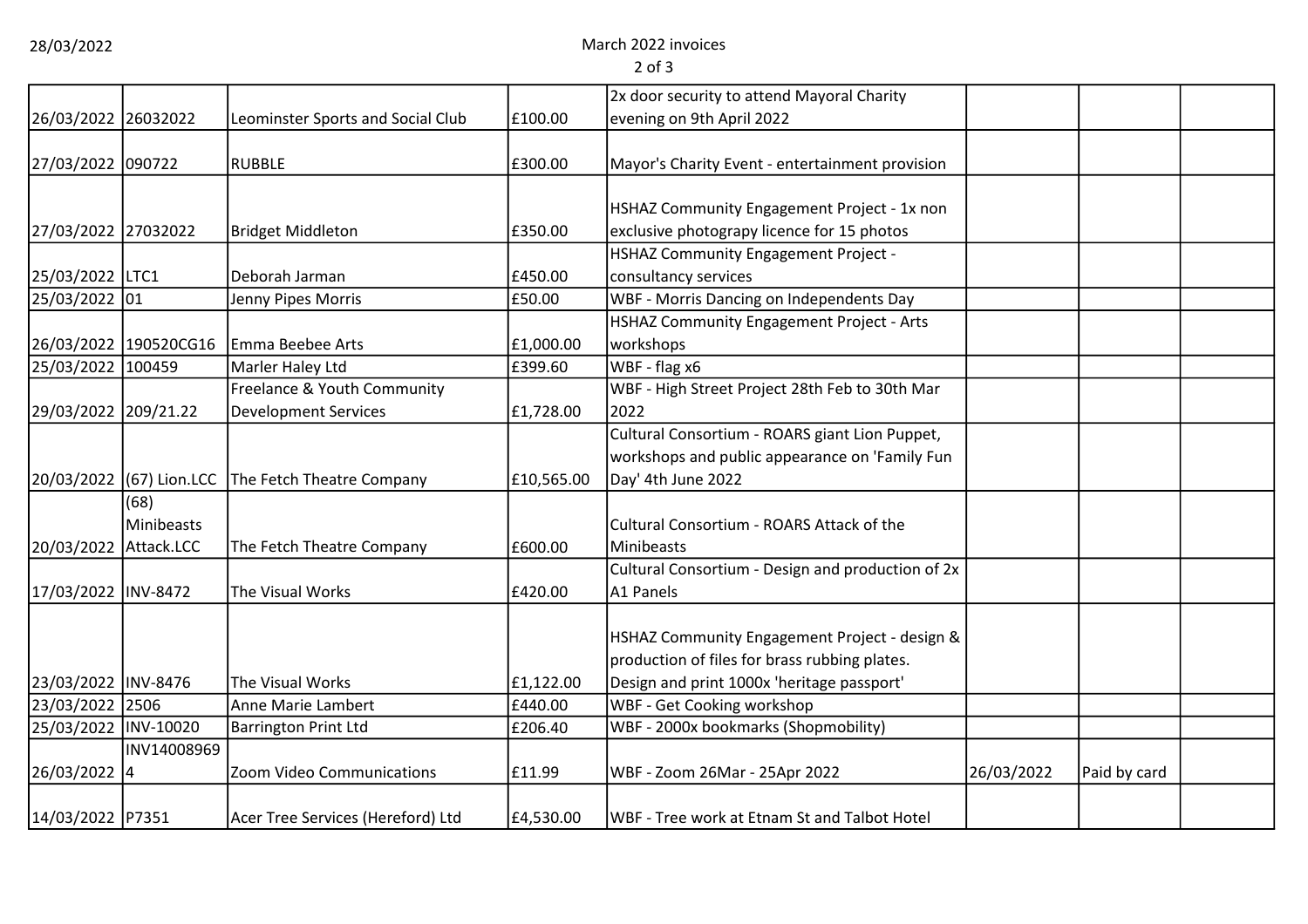28/03/2022 March 2022 invoices

2 of 3

|                      |             |                                                    |            | 2x door security to attend Mayoral Charity        |            |              |  |
|----------------------|-------------|----------------------------------------------------|------------|---------------------------------------------------|------------|--------------|--|
| 26/03/2022 26032022  |             | Leominster Sports and Social Club                  | £100.00    | evening on 9th April 2022                         |            |              |  |
|                      |             |                                                    |            |                                                   |            |              |  |
| 27/03/2022 090722    |             | <b>RUBBLE</b>                                      | £300.00    | Mayor's Charity Event - entertainment provision   |            |              |  |
|                      |             |                                                    |            |                                                   |            |              |  |
|                      |             |                                                    |            | HSHAZ Community Engagement Project - 1x non       |            |              |  |
| 27/03/2022 27032022  |             | <b>Bridget Middleton</b>                           | £350.00    | exclusive photograpy licence for 15 photos        |            |              |  |
|                      |             |                                                    |            | <b>HSHAZ Community Engagement Project -</b>       |            |              |  |
| 25/03/2022 LTC1      |             | Deborah Jarman                                     | £450.00    | consultancy services                              |            |              |  |
| 25/03/2022 01        |             | Jenny Pipes Morris                                 | £50.00     | WBF - Morris Dancing on Independents Day          |            |              |  |
|                      |             |                                                    |            | HSHAZ Community Engagement Project - Arts         |            |              |  |
|                      |             | 26/03/2022 190520CG16 Emma Beebee Arts             | £1,000.00  | workshops                                         |            |              |  |
| 25/03/2022 100459    |             | Marler Haley Ltd                                   | £399.60    | WBF - flag x6                                     |            |              |  |
|                      |             | Freelance & Youth Community                        |            | WBF - High Street Project 28th Feb to 30th Mar    |            |              |  |
| 29/03/2022 209/21.22 |             | <b>Development Services</b>                        | £1,728.00  | 2022                                              |            |              |  |
|                      |             |                                                    |            | Cultural Consortium - ROARS giant Lion Puppet,    |            |              |  |
|                      |             |                                                    |            | workshops and public appearance on 'Family Fun    |            |              |  |
|                      |             | 20/03/2022 (67) Lion.LCC The Fetch Theatre Company | £10,565.00 | Day' 4th June 2022                                |            |              |  |
|                      | (68)        |                                                    |            |                                                   |            |              |  |
|                      | Minibeasts  |                                                    |            | Cultural Consortium - ROARS Attack of the         |            |              |  |
| 20/03/2022           | Attack.LCC  | The Fetch Theatre Company                          | £600.00    | Minibeasts                                        |            |              |  |
|                      |             |                                                    |            | Cultural Consortium - Design and production of 2x |            |              |  |
| 17/03/2022 INV-8472  |             | The Visual Works                                   | £420.00    | A1 Panels                                         |            |              |  |
|                      |             |                                                    |            |                                                   |            |              |  |
|                      |             |                                                    |            | HSHAZ Community Engagement Project - design &     |            |              |  |
|                      |             |                                                    |            | production of files for brass rubbing plates.     |            |              |  |
| 23/03/2022 INV-8476  |             | The Visual Works                                   | £1,122.00  | Design and print 1000x 'heritage passport'        |            |              |  |
| 23/03/2022 2506      |             | Anne Marie Lambert                                 | £440.00    | WBF - Get Cooking workshop                        |            |              |  |
| 25/03/2022 INV-10020 |             | <b>Barrington Print Ltd</b>                        | £206.40    | WBF - 2000x bookmarks (Shopmobility)              |            |              |  |
|                      | INV14008969 |                                                    |            |                                                   |            |              |  |
| 26/03/2022 4         |             | Zoom Video Communications                          | £11.99     | WBF - Zoom 26Mar - 25Apr 2022                     | 26/03/2022 | Paid by card |  |
|                      |             |                                                    |            |                                                   |            |              |  |
| 14/03/2022 P7351     |             | Acer Tree Services (Hereford) Ltd                  | £4,530.00  | WBF - Tree work at Etnam St and Talbot Hotel      |            |              |  |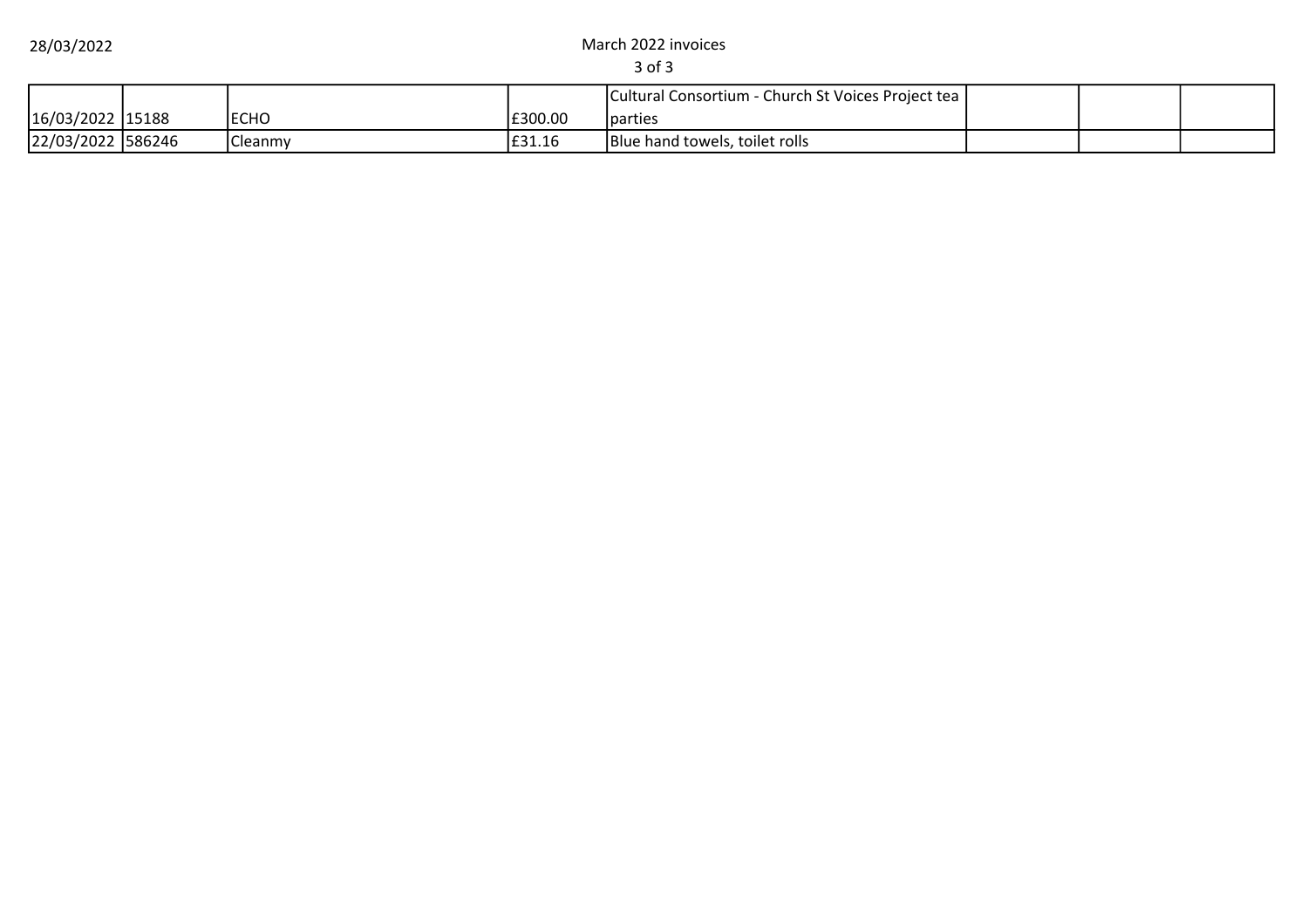28/03/2022 March 2022 invoices

3 of 3

|                   |                  |         | Cultural Consortium - Church St Voices Project tea |  |  |
|-------------------|------------------|---------|----------------------------------------------------|--|--|
| 16/03/2022 15188  | <b>ECHO</b>      | £300.00 | <b>I</b> parties                                   |  |  |
| 22/03/2022 586246 | <b>I</b> Cleanmy | E31.16  | Blue hand towels, toilet rolls                     |  |  |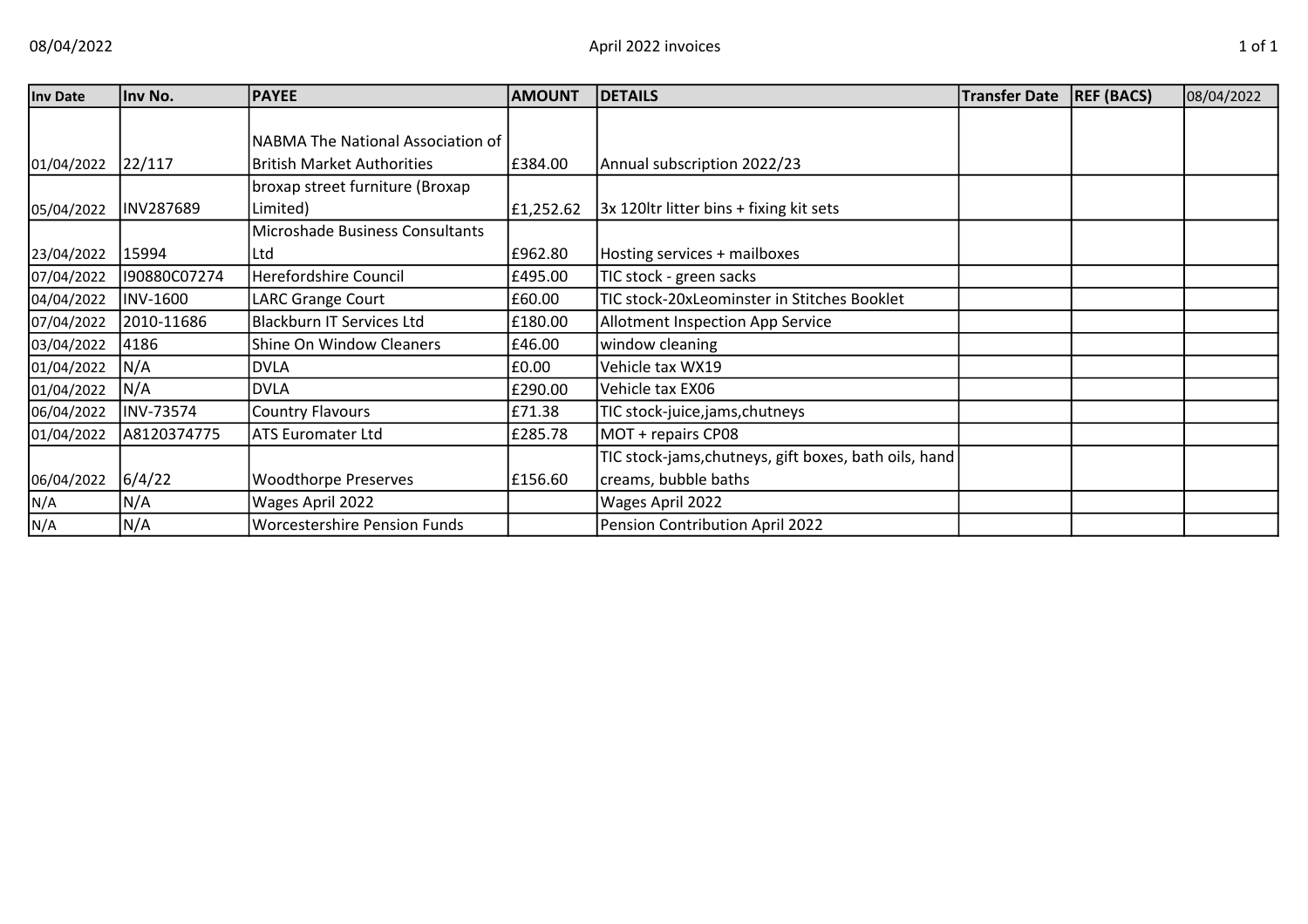| <b>Inv Date</b> | Inv No.         | <b>PAYEE</b>                        | <b>AMOUNT</b> | <b>DETAILS</b>                                        | <b>Transfer Date</b> | <b>REF (BACS)</b> | 08/04/2022 |
|-----------------|-----------------|-------------------------------------|---------------|-------------------------------------------------------|----------------------|-------------------|------------|
|                 |                 |                                     |               |                                                       |                      |                   |            |
|                 |                 | NABMA The National Association of   |               |                                                       |                      |                   |            |
| 01/04/2022      | 22/117          | <b>British Market Authorities</b>   | £384.00       | Annual subscription 2022/23                           |                      |                   |            |
|                 |                 | broxap street furniture (Broxap     |               |                                                       |                      |                   |            |
| 05/04/2022      | INV287689       | Limited)                            | £1,252.62     | 3x 120ltr litter bins + fixing kit sets               |                      |                   |            |
|                 |                 | Microshade Business Consultants     |               |                                                       |                      |                   |            |
| 23/04/2022      | 15994           | Ltd                                 | £962.80       | Hosting services + mailboxes                          |                      |                   |            |
| 07/04/2022      | I90880C07274    | <b>Herefordshire Council</b>        | £495.00       | TIC stock - green sacks                               |                      |                   |            |
| 04/04/2022      | <b>INV-1600</b> | <b>LARC Grange Court</b>            | £60.00        | TIC stock-20xLeominster in Stitches Booklet           |                      |                   |            |
| 07/04/2022      | 2010-11686      | <b>Blackburn IT Services Ltd</b>    | £180.00       | Allotment Inspection App Service                      |                      |                   |            |
| 03/04/2022      | 4186            | <b>Shine On Window Cleaners</b>     | £46.00        | window cleaning                                       |                      |                   |            |
| 01/04/2022      | N/A             | <b>DVLA</b>                         | £0.00         | Vehicle tax WX19                                      |                      |                   |            |
| 01/04/2022      | N/A             | <b>DVLA</b>                         | £290.00       | Vehicle tax EX06                                      |                      |                   |            |
| 06/04/2022      | INV-73574       | <b>Country Flavours</b>             | £71.38        | TIC stock-juice,jams,chutneys                         |                      |                   |            |
| 01/04/2022      | A8120374775     | <b>ATS Euromater Ltd</b>            | £285.78       | MOT + repairs CP08                                    |                      |                   |            |
|                 |                 |                                     |               | TIC stock-jams, chutneys, gift boxes, bath oils, hand |                      |                   |            |
| 06/04/2022      | 6/4/22          | <b>Woodthorpe Preserves</b>         | £156.60       | creams, bubble baths                                  |                      |                   |            |
| N/A             | N/A             | Wages April 2022                    |               | Wages April 2022                                      |                      |                   |            |
| N/A             | N/A             | <b>Worcestershire Pension Funds</b> |               | Pension Contribution April 2022                       |                      |                   |            |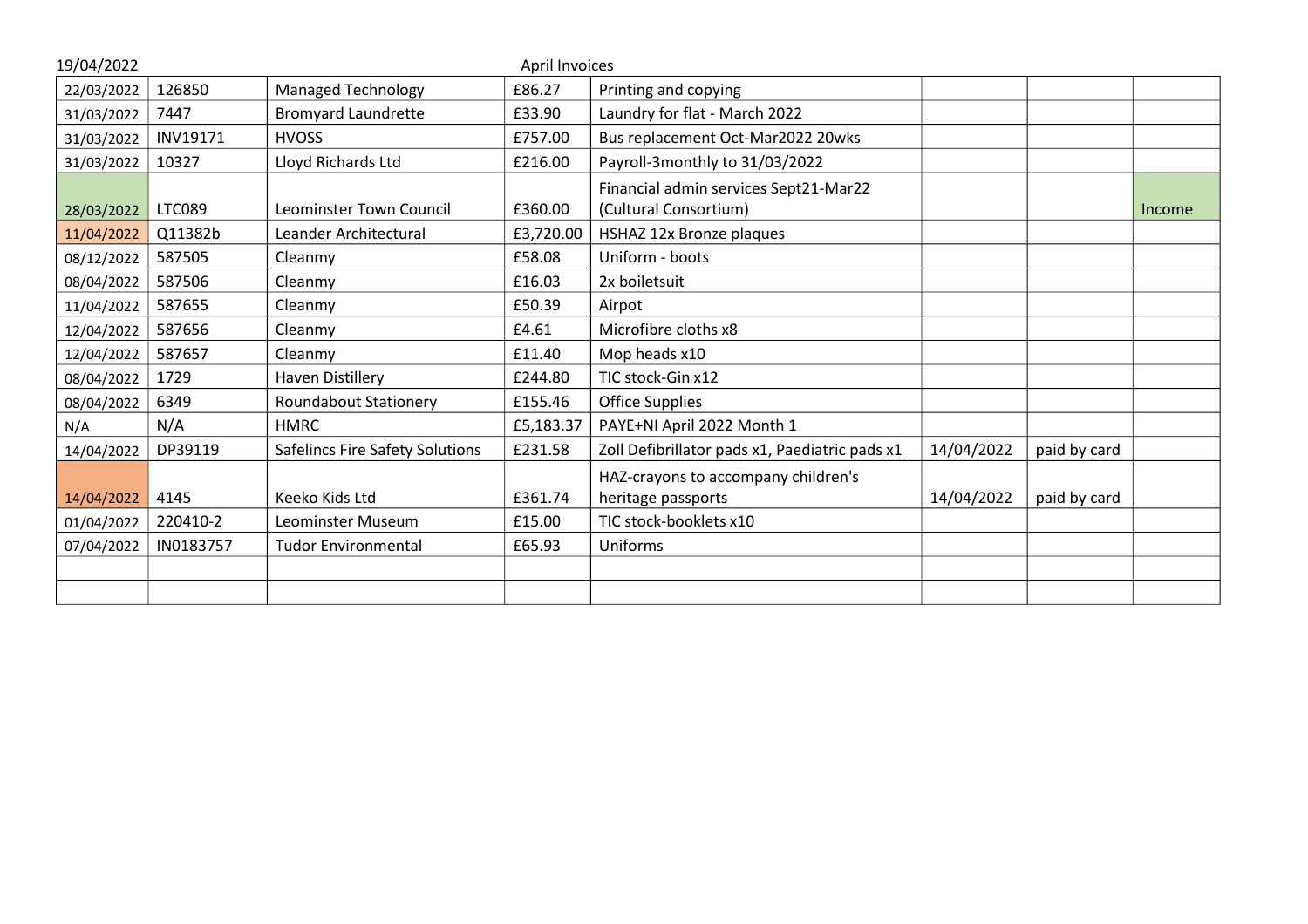| 19/04/2022 |               |                                 | April Invoices |                                                                |            |              |        |
|------------|---------------|---------------------------------|----------------|----------------------------------------------------------------|------------|--------------|--------|
| 22/03/2022 | 126850        | <b>Managed Technology</b>       | £86.27         | Printing and copying                                           |            |              |        |
| 31/03/2022 | 7447          | <b>Bromyard Laundrette</b>      | £33.90         | Laundry for flat - March 2022                                  |            |              |        |
| 31/03/2022 | INV19171      | <b>HVOSS</b>                    | £757.00        | Bus replacement Oct-Mar2022 20wks                              |            |              |        |
| 31/03/2022 | 10327         | Lloyd Richards Ltd              | £216.00        | Payroll-3monthly to 31/03/2022                                 |            |              |        |
| 28/03/2022 | <b>LTC089</b> | Leominster Town Council         | £360.00        | Financial admin services Sept21-Mar22<br>(Cultural Consortium) |            |              | Income |
| 11/04/2022 | Q11382b       | Leander Architectural           | £3,720.00      | HSHAZ 12x Bronze plaques                                       |            |              |        |
| 08/12/2022 | 587505        | Cleanmy                         | £58.08         | Uniform - boots                                                |            |              |        |
| 08/04/2022 | 587506        | Cleanmy                         | £16.03         | 2x boiletsuit                                                  |            |              |        |
| 11/04/2022 | 587655        | Cleanmy                         | £50.39         | Airpot                                                         |            |              |        |
| 12/04/2022 | 587656        | Cleanmy                         | £4.61          | Microfibre cloths x8                                           |            |              |        |
| 12/04/2022 | 587657        | Cleanmy                         | £11.40         | Mop heads x10                                                  |            |              |        |
| 08/04/2022 | 1729          | Haven Distillery                | £244.80        | TIC stock-Gin x12                                              |            |              |        |
| 08/04/2022 | 6349          | Roundabout Stationery           | £155.46        | <b>Office Supplies</b>                                         |            |              |        |
| N/A        | N/A           | <b>HMRC</b>                     | £5,183.37      | PAYE+NI April 2022 Month 1                                     |            |              |        |
| 14/04/2022 | DP39119       | Safelincs Fire Safety Solutions | £231.58        | Zoll Defibrillator pads x1, Paediatric pads x1                 | 14/04/2022 | paid by card |        |
| 14/04/2022 | 4145          | Keeko Kids Ltd                  | £361.74        | HAZ-crayons to accompany children's<br>heritage passports      | 14/04/2022 | paid by card |        |
| 01/04/2022 | 220410-2      | Leominster Museum               | £15.00         | TIC stock-booklets x10                                         |            |              |        |
| 07/04/2022 | IN0183757     | <b>Tudor Environmental</b>      | £65.93         | Uniforms                                                       |            |              |        |
|            |               |                                 |                |                                                                |            |              |        |
|            |               |                                 |                |                                                                |            |              |        |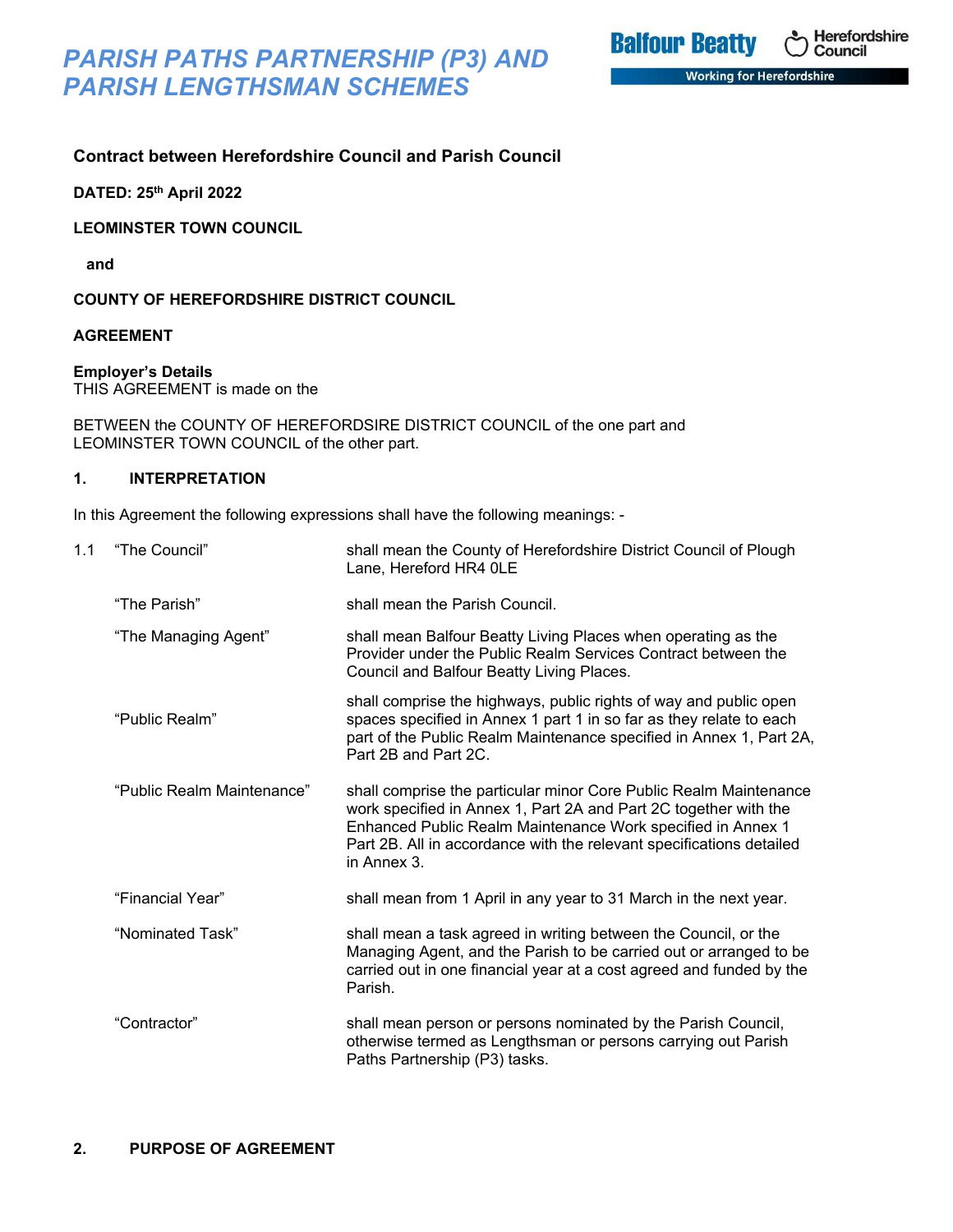*PARISH PATHS PARTNERSHIP (P3) AND PARISH LENGTHSMAN SCHEMES*

## **Contract between Herefordshire Council and Parish Council**

**DATED: 25th April 2022**

**LEOMINSTER TOWN COUNCIL**

 **and**

**COUNTY OF HEREFORDSHIRE DISTRICT COUNCIL**

#### **AGREEMENT**

**Employer's Details**

THIS AGREEMENT is made on the

BETWEEN the COUNTY OF HEREFORDSIRE DISTRICT COUNCIL of the one part and LEOMINSTER TOWN COUNCIL of the other part.

### **1. INTERPRETATION**

In this Agreement the following expressions shall have the following meanings: -

| 1.1 | "The Council"              | shall mean the County of Herefordshire District Council of Plough<br>Lane, Hereford HR4 OLE                                                                                                                                                                                                 |
|-----|----------------------------|---------------------------------------------------------------------------------------------------------------------------------------------------------------------------------------------------------------------------------------------------------------------------------------------|
|     | "The Parish"               | shall mean the Parish Council.                                                                                                                                                                                                                                                              |
|     | "The Managing Agent"       | shall mean Balfour Beatty Living Places when operating as the<br>Provider under the Public Realm Services Contract between the<br>Council and Balfour Beatty Living Places.                                                                                                                 |
|     | "Public Realm"             | shall comprise the highways, public rights of way and public open<br>spaces specified in Annex 1 part 1 in so far as they relate to each<br>part of the Public Realm Maintenance specified in Annex 1, Part 2A,<br>Part 2B and Part 2C.                                                     |
|     | "Public Realm Maintenance" | shall comprise the particular minor Core Public Realm Maintenance<br>work specified in Annex 1, Part 2A and Part 2C together with the<br>Enhanced Public Realm Maintenance Work specified in Annex 1<br>Part 2B. All in accordance with the relevant specifications detailed<br>in Annex 3. |
|     | "Financial Year"           | shall mean from 1 April in any year to 31 March in the next year.                                                                                                                                                                                                                           |
|     | "Nominated Task"           | shall mean a task agreed in writing between the Council, or the<br>Managing Agent, and the Parish to be carried out or arranged to be<br>carried out in one financial year at a cost agreed and funded by the<br>Parish.                                                                    |
|     | "Contractor"               | shall mean person or persons nominated by the Parish Council,<br>otherwise termed as Lengthsman or persons carrying out Parish<br>Paths Partnership (P3) tasks.                                                                                                                             |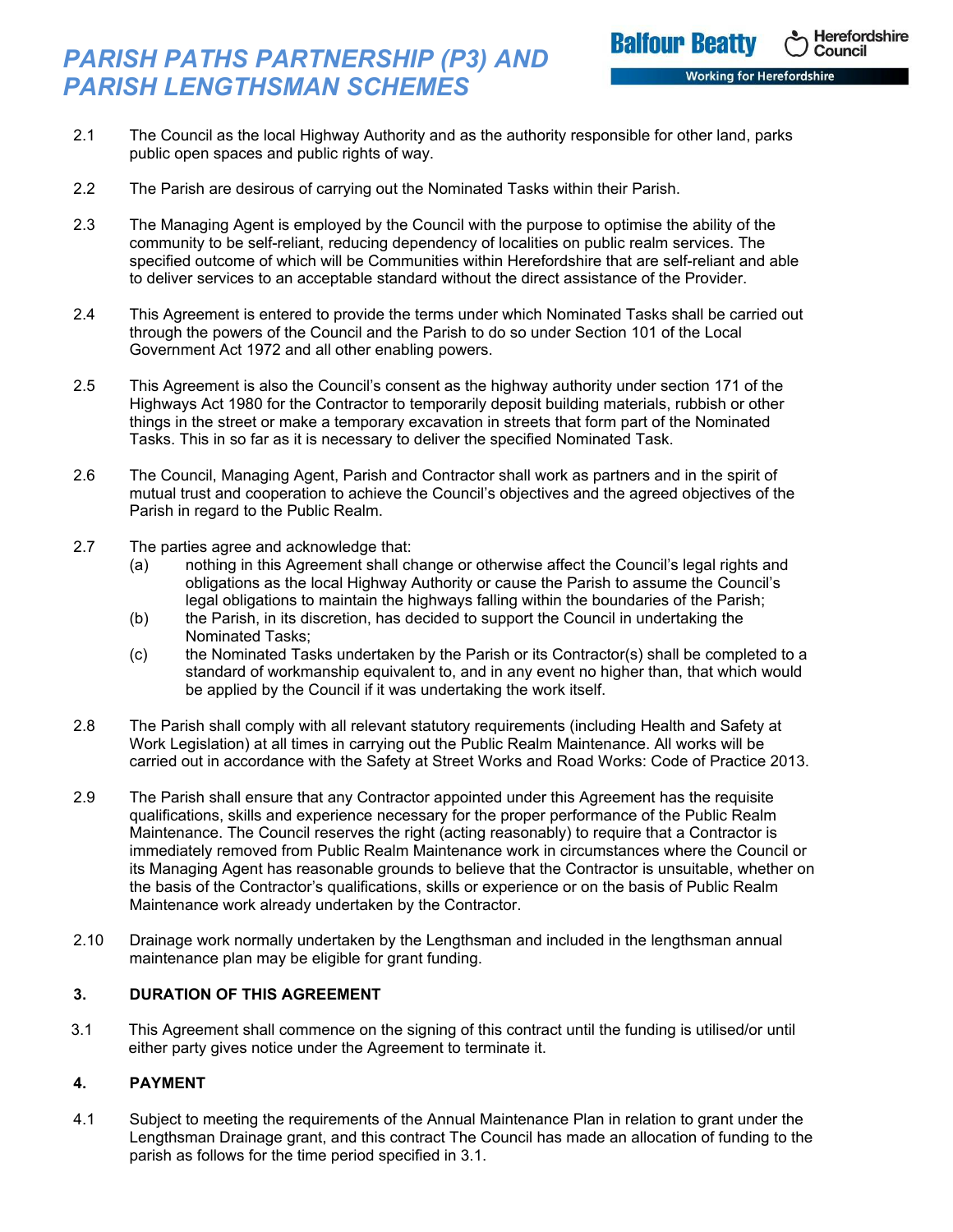# *PARISH PATHS PARTNERSHIP (P3) AND PARISH LENGTHSMAN SCHEMES*

**Balfour Beatty** 

Herefordshire

Council

- 2.1 The Council as the local Highway Authority and as the authority responsible for other land, parks public open spaces and public rights of way.
- 2.2 The Parish are desirous of carrying out the Nominated Tasks within their Parish.
- 2.3 The Managing Agent is employed by the Council with the purpose to optimise the ability of the community to be self-reliant, reducing dependency of localities on public realm services. The specified outcome of which will be Communities within Herefordshire that are self-reliant and able to deliver services to an acceptable standard without the direct assistance of the Provider.
- 2.4 This Agreement is entered to provide the terms under which Nominated Tasks shall be carried out through the powers of the Council and the Parish to do so under Section 101 of the Local Government Act 1972 and all other enabling powers.
- 2.5 This Agreement is also the Council's consent as the highway authority under section 171 of the Highways Act 1980 for the Contractor to temporarily deposit building materials, rubbish or other things in the street or make a temporary excavation in streets that form part of the Nominated Tasks. This in so far as it is necessary to deliver the specified Nominated Task.
- 2.6 The Council, Managing Agent, Parish and Contractor shall work as partners and in the spirit of mutual trust and cooperation to achieve the Council's objectives and the agreed objectives of the Parish in regard to the Public Realm.
- 2.7 The parties agree and acknowledge that:
	- (a) nothing in this Agreement shall change or otherwise affect the Council's legal rights and obligations as the local Highway Authority or cause the Parish to assume the Council's legal obligations to maintain the highways falling within the boundaries of the Parish;
	- (b) the Parish, in its discretion, has decided to support the Council in undertaking the Nominated Tasks;
	- (c) the Nominated Tasks undertaken by the Parish or its Contractor(s) shall be completed to a standard of workmanship equivalent to, and in any event no higher than, that which would be applied by the Council if it was undertaking the work itself.
- 2.8 The Parish shall comply with all relevant statutory requirements (including Health and Safety at Work Legislation) at all times in carrying out the Public Realm Maintenance. All works will be carried out in accordance with the Safety at Street Works and Road Works: Code of Practice 2013.
- 2.9 The Parish shall ensure that any Contractor appointed under this Agreement has the requisite qualifications, skills and experience necessary for the proper performance of the Public Realm Maintenance. The Council reserves the right (acting reasonably) to require that a Contractor is immediately removed from Public Realm Maintenance work in circumstances where the Council or its Managing Agent has reasonable grounds to believe that the Contractor is unsuitable, whether on the basis of the Contractor's qualifications, skills or experience or on the basis of Public Realm Maintenance work already undertaken by the Contractor.
- 2.10 Drainage work normally undertaken by the Lengthsman and included in the lengthsman annual maintenance plan may be eligible for grant funding.

## **3. DURATION OF THIS AGREEMENT**

 3.1 This Agreement shall commence on the signing of this contract until the funding is utilised/or until either party gives notice under the Agreement to terminate it.

### **4. PAYMENT**

4.1 Subject to meeting the requirements of the Annual Maintenance Plan in relation to grant under the Lengthsman Drainage grant, and this contract The Council has made an allocation of funding to the parish as follows for the time period specified in 3.1.